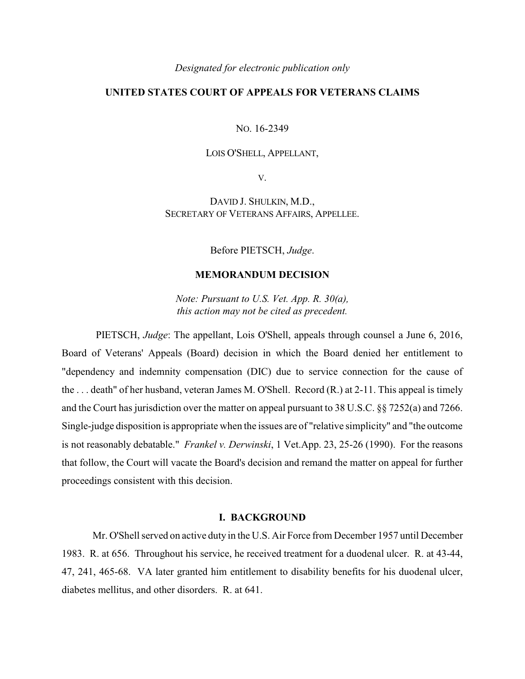#### *Designated for electronic publication only*

# **UNITED STATES COURT OF APPEALS FOR VETERANS CLAIMS**

NO. 16-2349

## LOIS O'SHELL, APPELLANT,

V.

DAVID J. SHULKIN, M.D., SECRETARY OF VETERANS AFFAIRS, APPELLEE.

Before PIETSCH, *Judge*.

# **MEMORANDUM DECISION**

*Note: Pursuant to U.S. Vet. App. R. 30(a), this action may not be cited as precedent.*

PIETSCH, *Judge*: The appellant, Lois O'Shell, appeals through counsel a June 6, 2016, Board of Veterans' Appeals (Board) decision in which the Board denied her entitlement to "dependency and indemnity compensation (DIC) due to service connection for the cause of the . . . death" of her husband, veteran James M. O'Shell. Record (R.) at 2-11. This appeal is timely and the Court has jurisdiction over the matter on appeal pursuant to 38 U.S.C. §§ 7252(a) and 7266. Single-judge disposition is appropriate when the issues are of "relative simplicity" and "the outcome is not reasonably debatable." *Frankel v. Derwinski*, 1 Vet.App. 23, 25-26 (1990). For the reasons that follow, the Court will vacate the Board's decision and remand the matter on appeal for further proceedings consistent with this decision.

### **I. BACKGROUND**

Mr. O'Shell served on active duty in the U.S. Air Force from December 1957 until December 1983. R. at 656. Throughout his service, he received treatment for a duodenal ulcer. R. at 43-44, 47, 241, 465-68. VA later granted him entitlement to disability benefits for his duodenal ulcer, diabetes mellitus, and other disorders. R. at 641.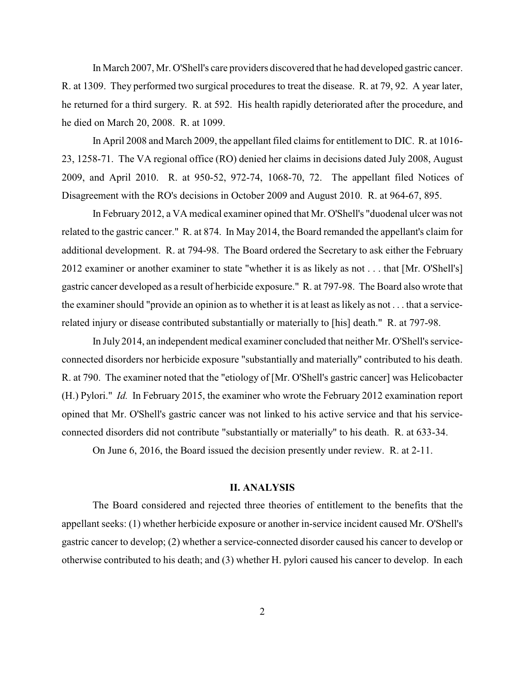In March 2007, Mr. O'Shell's care providers discovered that he had developed gastric cancer. R. at 1309. They performed two surgical procedures to treat the disease. R. at 79, 92. A year later, he returned for a third surgery. R. at 592. His health rapidly deteriorated after the procedure, and he died on March 20, 2008. R. at 1099.

In April 2008 and March 2009, the appellant filed claims for entitlement to DIC. R. at 1016- 23, 1258-71. The VA regional office (RO) denied her claims in decisions dated July 2008, August 2009, and April 2010. R. at 950-52, 972-74, 1068-70, 72. The appellant filed Notices of Disagreement with the RO's decisions in October 2009 and August 2010. R. at 964-67, 895.

In February 2012, a VA medical examiner opined that Mr. O'Shell's "duodenal ulcer was not related to the gastric cancer." R. at 874. In May 2014, the Board remanded the appellant's claim for additional development. R. at 794-98. The Board ordered the Secretary to ask either the February 2012 examiner or another examiner to state "whether it is as likely as not . . . that [Mr. O'Shell's] gastric cancer developed as a result of herbicide exposure." R. at 797-98. The Board also wrote that the examiner should "provide an opinion as to whether it is at least as likely as not . . . that a servicerelated injury or disease contributed substantially or materially to [his] death." R. at 797-98.

In July 2014, an independent medical examiner concluded that neither Mr. O'Shell's serviceconnected disorders nor herbicide exposure "substantially and materially" contributed to his death. R. at 790. The examiner noted that the "etiology of [Mr. O'Shell's gastric cancer] was Helicobacter (H.) Pylori." *Id.* In February 2015, the examiner who wrote the February 2012 examination report opined that Mr. O'Shell's gastric cancer was not linked to his active service and that his serviceconnected disorders did not contribute "substantially or materially" to his death. R. at 633-34.

On June 6, 2016, the Board issued the decision presently under review. R. at 2-11.

### **II. ANALYSIS**

The Board considered and rejected three theories of entitlement to the benefits that the appellant seeks: (1) whether herbicide exposure or another in-service incident caused Mr. O'Shell's gastric cancer to develop; (2) whether a service-connected disorder caused his cancer to develop or otherwise contributed to his death; and (3) whether H. pylori caused his cancer to develop. In each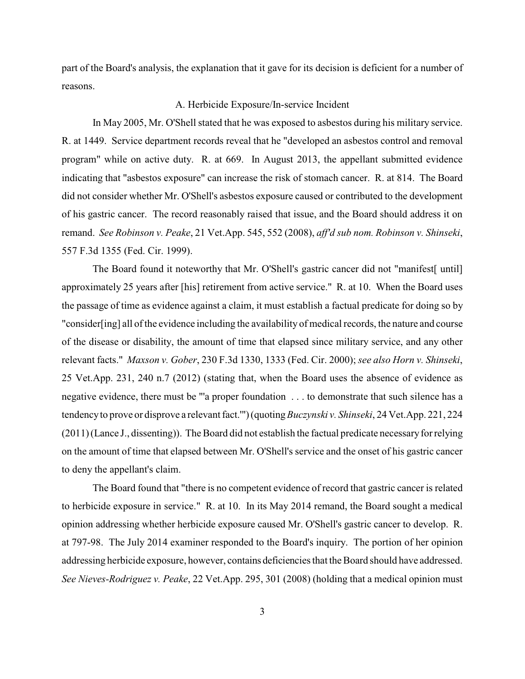part of the Board's analysis, the explanation that it gave for its decision is deficient for a number of reasons.

## A. Herbicide Exposure/In-service Incident

In May 2005, Mr. O'Shell stated that he was exposed to asbestos during his military service. R. at 1449. Service department records reveal that he "developed an asbestos control and removal program" while on active duty. R. at 669. In August 2013, the appellant submitted evidence indicating that "asbestos exposure" can increase the risk of stomach cancer. R. at 814. The Board did not consider whether Mr. O'Shell's asbestos exposure caused or contributed to the development of his gastric cancer. The record reasonably raised that issue, and the Board should address it on remand. *See Robinson v. Peake*, 21 Vet.App. 545, 552 (2008), *aff'd sub nom. Robinson v. Shinseki*, 557 F.3d 1355 (Fed. Cir. 1999).

The Board found it noteworthy that Mr. O'Shell's gastric cancer did not "manifest" until approximately 25 years after [his] retirement from active service." R. at 10. When the Board uses the passage of time as evidence against a claim, it must establish a factual predicate for doing so by "consider[ing] all of the evidence including the availability of medical records, the nature and course of the disease or disability, the amount of time that elapsed since military service, and any other relevant facts." *Maxson v. Gober*, 230 F.3d 1330, 1333 (Fed. Cir. 2000); *see also Horn v. Shinseki*, 25 Vet.App. 231, 240 n.7 (2012) (stating that, when the Board uses the absence of evidence as negative evidence, there must be "'a proper foundation . . . to demonstrate that such silence has a tendencyto prove or disprove a relevant fact.'") (quoting*Buczynski v. Shinseki*, 24 Vet.App. 221, 224 (2011) (Lance J., dissenting)). The Board did not establish the factual predicate necessaryfor relying on the amount of time that elapsed between Mr. O'Shell's service and the onset of his gastric cancer to deny the appellant's claim.

The Board found that "there is no competent evidence of record that gastric cancer is related to herbicide exposure in service." R. at 10. In its May 2014 remand, the Board sought a medical opinion addressing whether herbicide exposure caused Mr. O'Shell's gastric cancer to develop. R. at 797-98. The July 2014 examiner responded to the Board's inquiry. The portion of her opinion addressing herbicide exposure, however, contains deficiencies that the Board should have addressed. *See Nieves-Rodriguez v. Peake*, 22 Vet.App. 295, 301 (2008) (holding that a medical opinion must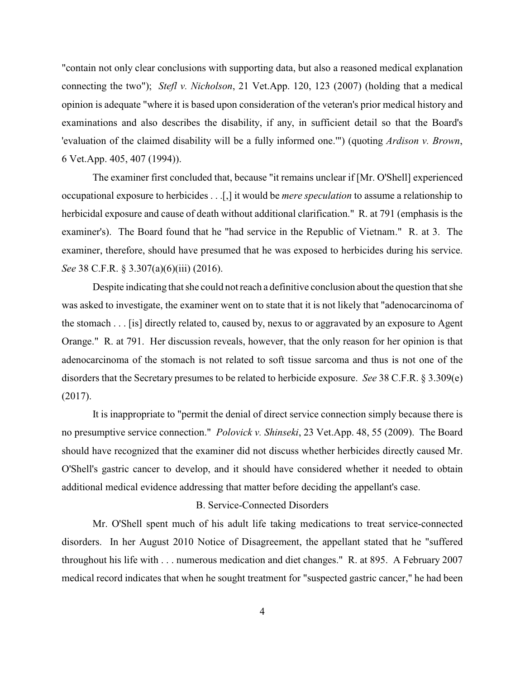"contain not only clear conclusions with supporting data, but also a reasoned medical explanation connecting the two"); *Stefl v. Nicholson*, 21 Vet.App. 120, 123 (2007) (holding that a medical opinion is adequate "where it is based upon consideration of the veteran's prior medical history and examinations and also describes the disability, if any, in sufficient detail so that the Board's 'evaluation of the claimed disability will be a fully informed one.'") (quoting *Ardison v. Brown*, 6 Vet.App. 405, 407 (1994)).

The examiner first concluded that, because "it remains unclear if [Mr. O'Shell] experienced occupational exposure to herbicides . . .[,] it would be *mere speculation* to assume a relationship to herbicidal exposure and cause of death without additional clarification." R. at 791 (emphasis is the examiner's). The Board found that he "had service in the Republic of Vietnam." R. at 3. The examiner, therefore, should have presumed that he was exposed to herbicides during his service. *See* 38 C.F.R. § 3.307(a)(6)(iii) (2016).

Despite indicating that she could not reach a definitive conclusion about the question that she was asked to investigate, the examiner went on to state that it is not likely that "adenocarcinoma of the stomach . . . [is] directly related to, caused by, nexus to or aggravated by an exposure to Agent Orange." R. at 791. Her discussion reveals, however, that the only reason for her opinion is that adenocarcinoma of the stomach is not related to soft tissue sarcoma and thus is not one of the disorders that the Secretary presumes to be related to herbicide exposure. *See* 38 C.F.R. § 3.309(e) (2017).

It is inappropriate to "permit the denial of direct service connection simply because there is no presumptive service connection." *Polovick v. Shinseki*, 23 Vet.App. 48, 55 (2009). The Board should have recognized that the examiner did not discuss whether herbicides directly caused Mr. O'Shell's gastric cancer to develop, and it should have considered whether it needed to obtain additional medical evidence addressing that matter before deciding the appellant's case.

## B. Service-Connected Disorders

Mr. O'Shell spent much of his adult life taking medications to treat service-connected disorders. In her August 2010 Notice of Disagreement, the appellant stated that he "suffered throughout his life with . . . numerous medication and diet changes." R. at 895. A February 2007 medical record indicates that when he sought treatment for "suspected gastric cancer," he had been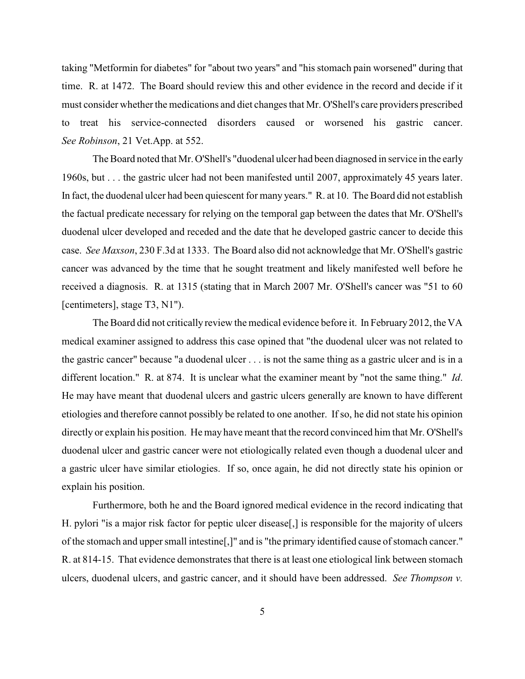taking "Metformin for diabetes" for "about two years" and "his stomach pain worsened" during that time. R. at 1472. The Board should review this and other evidence in the record and decide if it must consider whether the medications and diet changes that Mr. O'Shell's care providers prescribed to treat his service-connected disorders caused or worsened his gastric cancer. *See Robinson*, 21 Vet.App. at 552.

The Board noted that Mr. O'Shell's "duodenal ulcer had been diagnosed in service in the early 1960s, but . . . the gastric ulcer had not been manifested until 2007, approximately 45 years later. In fact, the duodenal ulcer had been quiescent for many years." R. at 10. The Board did not establish the factual predicate necessary for relying on the temporal gap between the dates that Mr. O'Shell's duodenal ulcer developed and receded and the date that he developed gastric cancer to decide this case. *See Maxson*, 230 F.3d at 1333. The Board also did not acknowledge that Mr. O'Shell's gastric cancer was advanced by the time that he sought treatment and likely manifested well before he received a diagnosis. R. at 1315 (stating that in March 2007 Mr. O'Shell's cancer was "51 to 60 [centimeters], stage T3, N1").

The Board did not critically review the medical evidence before it. In February 2012, the VA medical examiner assigned to address this case opined that "the duodenal ulcer was not related to the gastric cancer" because "a duodenal ulcer . . . is not the same thing as a gastric ulcer and is in a different location." R. at 874. It is unclear what the examiner meant by "not the same thing." *Id*. He may have meant that duodenal ulcers and gastric ulcers generally are known to have different etiologies and therefore cannot possibly be related to one another. If so, he did not state his opinion directly or explain his position. He may have meant that the record convinced him that Mr. O'Shell's duodenal ulcer and gastric cancer were not etiologically related even though a duodenal ulcer and a gastric ulcer have similar etiologies. If so, once again, he did not directly state his opinion or explain his position.

Furthermore, both he and the Board ignored medical evidence in the record indicating that H. pylori "is a major risk factor for peptic ulcer disease[,] is responsible for the majority of ulcers of the stomach and upper small intestine[,]" and is "the primary identified cause of stomach cancer." R. at 814-15. That evidence demonstrates that there is at least one etiological link between stomach ulcers, duodenal ulcers, and gastric cancer, and it should have been addressed. *See Thompson v.*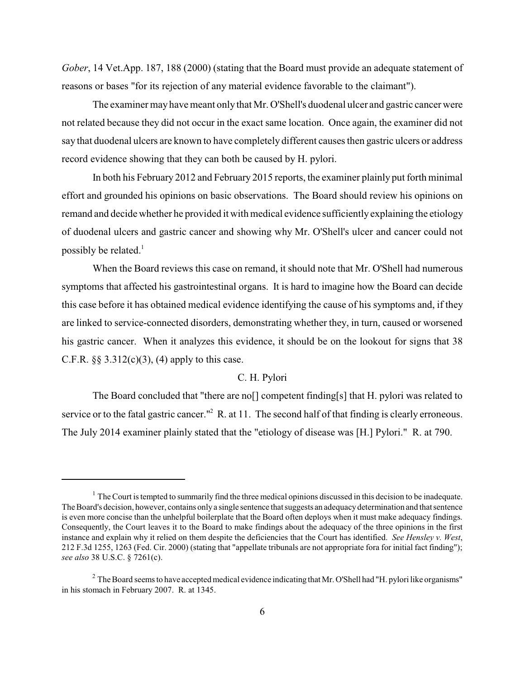*Gober*, 14 Vet.App. 187, 188 (2000) (stating that the Board must provide an adequate statement of reasons or bases "for its rejection of any material evidence favorable to the claimant").

The examiner may have meant only that Mr. O'Shell's duodenal ulcer and gastric cancer were not related because they did not occur in the exact same location. Once again, the examiner did not say that duodenal ulcers are known to have completely different causes then gastric ulcers or address record evidence showing that they can both be caused by H. pylori.

In both his February 2012 and February 2015 reports, the examiner plainly put forth minimal effort and grounded his opinions on basic observations. The Board should review his opinions on remand and decide whether he provided it with medical evidence sufficientlyexplaining the etiology of duodenal ulcers and gastric cancer and showing why Mr. O'Shell's ulcer and cancer could not possibly be related. $<sup>1</sup>$ </sup>

When the Board reviews this case on remand, it should note that Mr. O'Shell had numerous symptoms that affected his gastrointestinal organs. It is hard to imagine how the Board can decide this case before it has obtained medical evidence identifying the cause of his symptoms and, if they are linked to service-connected disorders, demonstrating whether they, in turn, caused or worsened his gastric cancer. When it analyzes this evidence, it should be on the lookout for signs that 38 C.F.R.  $\S$ § 3.312(c)(3), (4) apply to this case.

# C. H. Pylori

The Board concluded that "there are no[] competent finding[s] that H. pylori was related to service or to the fatal gastric cancer."<sup>2</sup> R. at 11. The second half of that finding is clearly erroneous. The July 2014 examiner plainly stated that the "etiology of disease was [H.] Pylori." R. at 790.

 $1$  The Court is tempted to summarily find the three medical opinions discussed in this decision to be inadequate. The Board's decision, however, contains only a single sentence that suggests an adequacydetermination and that sentence is even more concise than the unhelpful boilerplate that the Board often deploys when it must make adequacy findings. Consequently, the Court leaves it to the Board to make findings about the adequacy of the three opinions in the first instance and explain why it relied on them despite the deficiencies that the Court has identified. *See Hensley v. West*, 212 F.3d 1255, 1263 (Fed. Cir. 2000) (stating that "appellate tribunals are not appropriate fora for initial fact finding"); *see also* 38 U.S.C. § 7261(c).

<sup>&</sup>lt;sup>2</sup> The Board seems to have accepted medical evidence indicating that Mr. O'Shell had "H. pylori like organisms" in his stomach in February 2007. R. at 1345.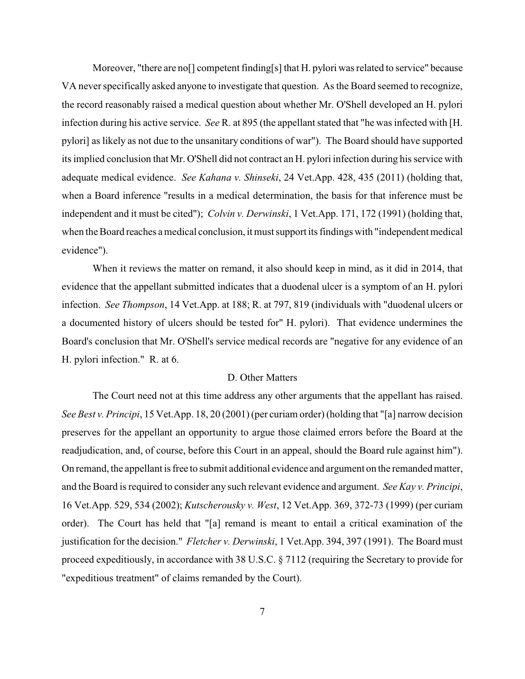Moreover, "there are noll competent finding [s] that H, pylori was related to service" because VA never specifically asked anyone to investigate that question. As the Board seemed to recognize, the record reasonably raised a medical question about whether Mr. O'Shell developed an H. pylori infection during his active service. *See* R. at 895 (the appellant stated that "he was infected with [H. pylori] as likely as not due to the unsanitary conditions of war"). The Board should have supported its implied conclusion that Mr. O'Shell did not contract an H. pylori infection during his service with adequate medical evidence. *See Kahana v. Shinseki*, 24 Vet.App. 428, 435 (2011) (holding that, when a Board inference "results in a medical determination, the basis for that inference must be independent and it must be cited"); *Colvin v. Derwinski*, 1 Vet.App. 171, 172 (1991) (holding that, when the Board reaches a medical conclusion, it must support its findings with "independent medical evidence").

When it reviews the matter on remand, it also should keep in mind, as it did in 2014, that evidence that the appellant submitted indicates that a duodenal ulcer is a symptom of an H. pylori infection. *See Thompson*, 14 Vet.App. at 188; R. at 797, 819 (individuals with "duodenal ulcers or a documented history of ulcers should be tested for" H. pylori). That evidence undermines the Board's conclusion that Mr. O'Shell's service medical records are "negative for any evidence of an H. pylori infection." R. at 6.

# D. Other Matters

The Court need not at this time address any other arguments that the appellant has raised. *See Best v. Principi*, 15 Vet.App. 18, 20 (2001) (per curiam order) (holding that "[a] narrow decision preserves for the appellant an opportunity to argue those claimed errors before the Board at the readjudication, and, of course, before this Court in an appeal, should the Board rule against him"). On remand, the appellant is free to submit additional evidence and argument on the remanded matter, and the Board is required to consider any such relevant evidence and argument. *See Kay v. Principi*, 16 Vet.App. 529, 534 (2002); *Kutscherousky v. West*, 12 Vet.App. 369, 372-73 (1999) (per curiam order). The Court has held that "[a] remand is meant to entail a critical examination of the justification for the decision." *Fletcher v. Derwinski*, 1 Vet.App. 394, 397 (1991). The Board must proceed expeditiously, in accordance with 38 U.S.C. § 7112 (requiring the Secretary to provide for "expeditious treatment" of claims remanded by the Court).